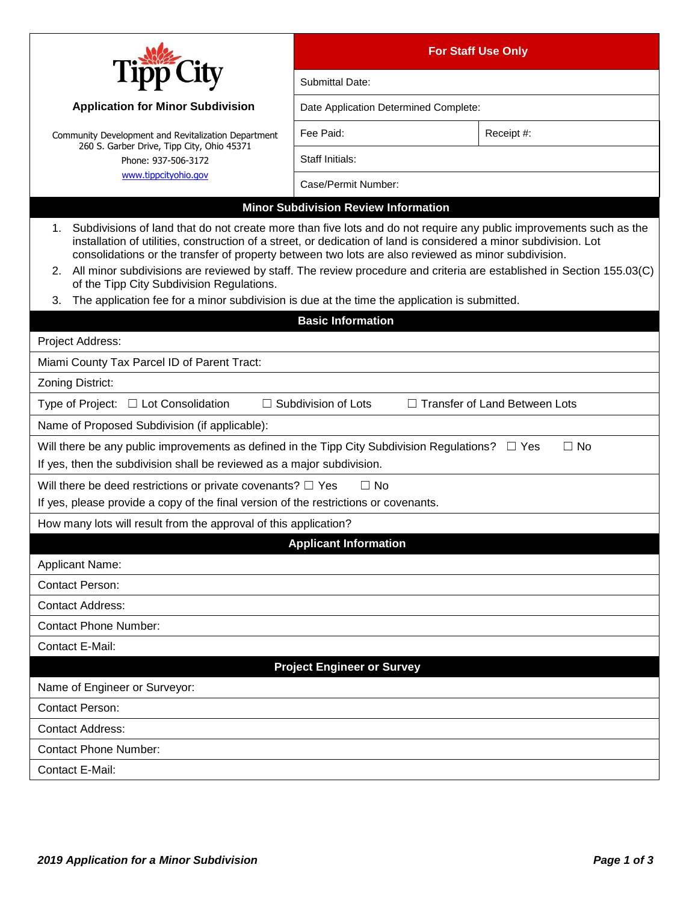|                                                                                                                                                                                                                                                                                                                                                                                                                                                                                                                           | <b>For Staff Use Only</b>                   |            |  |
|---------------------------------------------------------------------------------------------------------------------------------------------------------------------------------------------------------------------------------------------------------------------------------------------------------------------------------------------------------------------------------------------------------------------------------------------------------------------------------------------------------------------------|---------------------------------------------|------------|--|
|                                                                                                                                                                                                                                                                                                                                                                                                                                                                                                                           | Submittal Date:                             |            |  |
| <b>Application for Minor Subdivision</b>                                                                                                                                                                                                                                                                                                                                                                                                                                                                                  | Date Application Determined Complete:       |            |  |
| Community Development and Revitalization Department<br>260 S. Garber Drive, Tipp City, Ohio 45371<br>Phone: 937-506-3172<br>www.tippcityohio.gov                                                                                                                                                                                                                                                                                                                                                                          | Fee Paid:                                   | Receipt #: |  |
|                                                                                                                                                                                                                                                                                                                                                                                                                                                                                                                           | Staff Initials:                             |            |  |
|                                                                                                                                                                                                                                                                                                                                                                                                                                                                                                                           | Case/Permit Number:                         |            |  |
|                                                                                                                                                                                                                                                                                                                                                                                                                                                                                                                           | <b>Minor Subdivision Review Information</b> |            |  |
| 1. Subdivisions of land that do not create more than five lots and do not require any public improvements such as the<br>installation of utilities, construction of a street, or dedication of land is considered a minor subdivision. Lot<br>consolidations or the transfer of property between two lots are also reviewed as minor subdivision.<br>2. All minor subdivisions are reviewed by staff. The review procedure and criteria are established in Section 155.03(C)<br>of the Tipp City Subdivision Regulations. |                                             |            |  |
| The application fee for a minor subdivision is due at the time the application is submitted.<br>3.                                                                                                                                                                                                                                                                                                                                                                                                                        |                                             |            |  |
|                                                                                                                                                                                                                                                                                                                                                                                                                                                                                                                           | <b>Basic Information</b>                    |            |  |
| Project Address:                                                                                                                                                                                                                                                                                                                                                                                                                                                                                                          |                                             |            |  |
| Miami County Tax Parcel ID of Parent Tract:                                                                                                                                                                                                                                                                                                                                                                                                                                                                               |                                             |            |  |
| Zoning District:                                                                                                                                                                                                                                                                                                                                                                                                                                                                                                          |                                             |            |  |
| $\Box$ Subdivision of Lots<br>$\Box$ Transfer of Land Between Lots<br>Type of Project: $\Box$ Lot Consolidation                                                                                                                                                                                                                                                                                                                                                                                                           |                                             |            |  |
| Name of Proposed Subdivision (if applicable):                                                                                                                                                                                                                                                                                                                                                                                                                                                                             |                                             |            |  |
| Will there be any public improvements as defined in the Tipp City Subdivision Regulations? $\square$ Yes<br>$\Box$ No<br>If yes, then the subdivision shall be reviewed as a major subdivision.                                                                                                                                                                                                                                                                                                                           |                                             |            |  |
| $\Box$ No<br>Will there be deed restrictions or private covenants? $\Box$ Yes                                                                                                                                                                                                                                                                                                                                                                                                                                             |                                             |            |  |
| If yes, please provide a copy of the final version of the restrictions or covenants.                                                                                                                                                                                                                                                                                                                                                                                                                                      |                                             |            |  |
| How many lots will result from the approval of this application?                                                                                                                                                                                                                                                                                                                                                                                                                                                          |                                             |            |  |
|                                                                                                                                                                                                                                                                                                                                                                                                                                                                                                                           | <b>Applicant Information</b>                |            |  |
| Applicant Name:<br><b>Contact Person:</b>                                                                                                                                                                                                                                                                                                                                                                                                                                                                                 |                                             |            |  |
| <b>Contact Address:</b>                                                                                                                                                                                                                                                                                                                                                                                                                                                                                                   |                                             |            |  |
| <b>Contact Phone Number:</b>                                                                                                                                                                                                                                                                                                                                                                                                                                                                                              |                                             |            |  |
| Contact E-Mail:                                                                                                                                                                                                                                                                                                                                                                                                                                                                                                           |                                             |            |  |
| <b>Project Engineer or Survey</b>                                                                                                                                                                                                                                                                                                                                                                                                                                                                                         |                                             |            |  |
| Name of Engineer or Surveyor:                                                                                                                                                                                                                                                                                                                                                                                                                                                                                             |                                             |            |  |
| <b>Contact Person:</b>                                                                                                                                                                                                                                                                                                                                                                                                                                                                                                    |                                             |            |  |
| <b>Contact Address:</b>                                                                                                                                                                                                                                                                                                                                                                                                                                                                                                   |                                             |            |  |
| <b>Contact Phone Number:</b>                                                                                                                                                                                                                                                                                                                                                                                                                                                                                              |                                             |            |  |
| Contact E-Mail:                                                                                                                                                                                                                                                                                                                                                                                                                                                                                                           |                                             |            |  |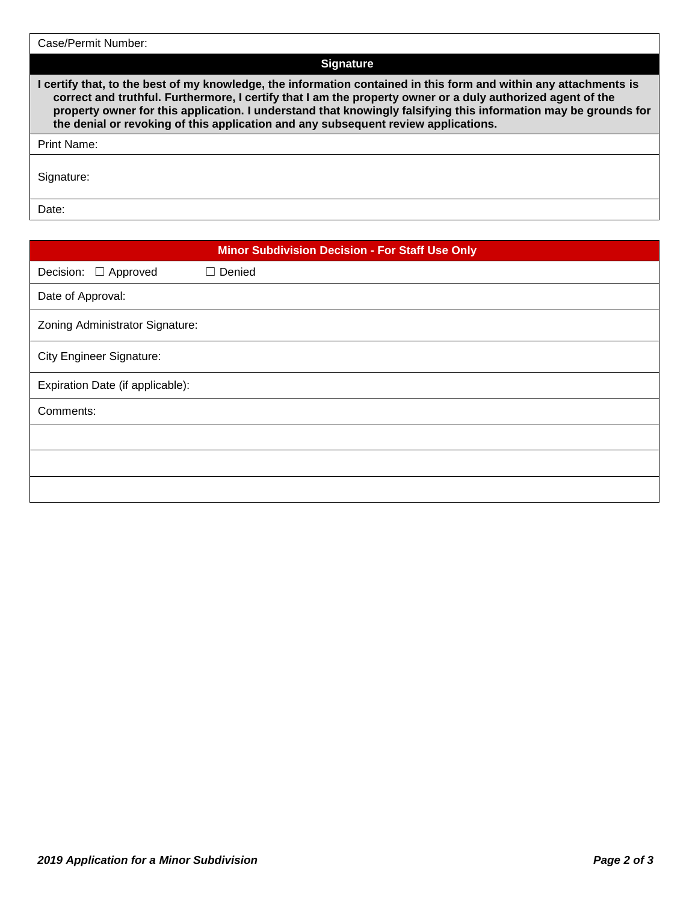| Case/Permit Number:                                                                                                                                                                                                                                                                                                                                                                                                                       |
|-------------------------------------------------------------------------------------------------------------------------------------------------------------------------------------------------------------------------------------------------------------------------------------------------------------------------------------------------------------------------------------------------------------------------------------------|
| <b>Signature</b>                                                                                                                                                                                                                                                                                                                                                                                                                          |
| I certify that, to the best of my knowledge, the information contained in this form and within any attachments is<br>correct and truthful. Furthermore, I certify that I am the property owner or a duly authorized agent of the<br>property owner for this application. I understand that knowingly falsifying this information may be grounds for<br>the denial or revoking of this application and any subsequent review applications. |
| <b>Print Name:</b>                                                                                                                                                                                                                                                                                                                                                                                                                        |
| Signature:                                                                                                                                                                                                                                                                                                                                                                                                                                |
| Date:                                                                                                                                                                                                                                                                                                                                                                                                                                     |

| <b>Minor Subdivision Decision - For Staff Use Only</b> |               |  |
|--------------------------------------------------------|---------------|--|
| Decision: □ Approved                                   | $\Box$ Denied |  |
| Date of Approval:                                      |               |  |
| Zoning Administrator Signature:                        |               |  |
| <b>City Engineer Signature:</b>                        |               |  |
| Expiration Date (if applicable):                       |               |  |
| Comments:                                              |               |  |
|                                                        |               |  |
|                                                        |               |  |
|                                                        |               |  |

ī